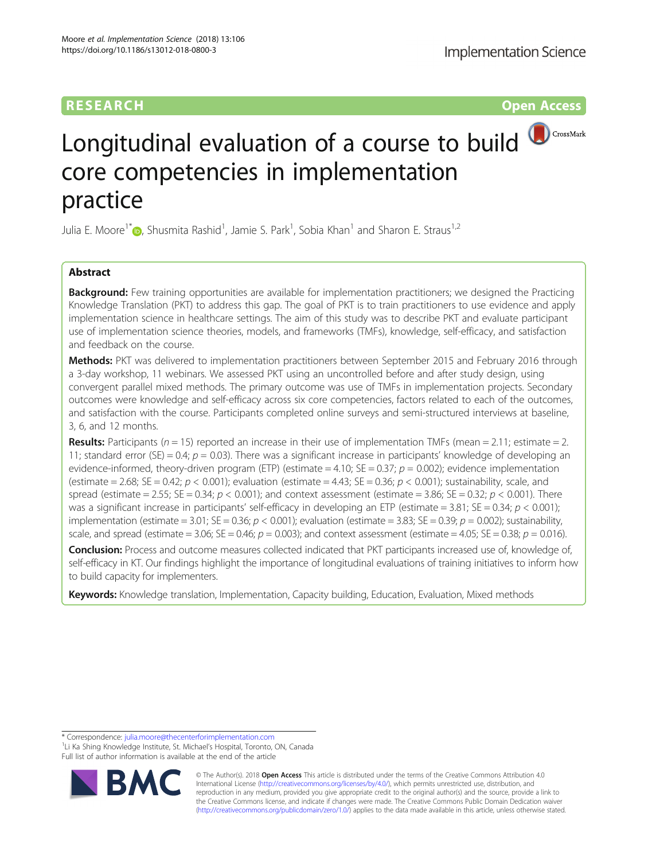## **RESEARCH CHINESE ARCH CHINESE ARCHITECT ARCHITECT ARCHITECT ARCHITECT ARCHITECT ARCHITECT ARCHITECT ARCHITECT ARCHITECT ARCHITECT ARCHITECT ARCHITECT ARCHITECT ARCHITECT ARCHITECT ARCHITECT ARCHITECT ARCHITECT ARCHITE**



# Longitudinal evaluation of a course to build **OCCOOS AGGERY** CrossMark core competencies in implementation practice

Julia E. Moore<sup>1\*</sup> D, Shusmita Rashid<sup>1</sup>, Jamie S. Park<sup>1</sup>, Sobia Khan<sup>1</sup> and Sharon E. Straus<sup>1,2</sup>

## Abstract

**Background:** Few training opportunities are available for implementation practitioners; we designed the Practicing Knowledge Translation (PKT) to address this gap. The goal of PKT is to train practitioners to use evidence and apply implementation science in healthcare settings. The aim of this study was to describe PKT and evaluate participant use of implementation science theories, models, and frameworks (TMFs), knowledge, self-efficacy, and satisfaction and feedback on the course.

Methods: PKT was delivered to implementation practitioners between September 2015 and February 2016 through a 3-day workshop, 11 webinars. We assessed PKT using an uncontrolled before and after study design, using convergent parallel mixed methods. The primary outcome was use of TMFs in implementation projects. Secondary outcomes were knowledge and self-efficacy across six core competencies, factors related to each of the outcomes, and satisfaction with the course. Participants completed online surveys and semi-structured interviews at baseline, 3, 6, and 12 months.

**Results:** Participants ( $n = 15$ ) reported an increase in their use of implementation TMFs (mean = 2.11; estimate = 2. 11; standard error (SE) = 0.4;  $p = 0.03$ ). There was a significant increase in participants' knowledge of developing an evidence-informed, theory-driven program (ETP) (estimate = 4.10; SE = 0.37;  $p = 0.002$ ); evidence implementation (estimate = 2.68; SE = 0.42;  $p < 0.001$ ); evaluation (estimate = 4.43; SE = 0.36;  $p < 0.001$ ); sustainability, scale, and spread (estimate = 2.55; SE = 0.34;  $p < 0.001$ ); and context assessment (estimate = 3.86; SE = 0.32;  $p < 0.001$ ). There was a significant increase in participants' self-efficacy in developing an ETP (estimate = 3.81; SE = 0.34;  $p < 0.001$ ); implementation (estimate = 3.01; SE = 0.36;  $p < 0.001$ ); evaluation (estimate = 3.83; SE = 0.39;  $p = 0.002$ ); sustainability, scale, and spread (estimate = 3.06; SE = 0.46;  $p = 0.003$ ); and context assessment (estimate = 4.05; SE = 0.38;  $p = 0.016$ ).

Conclusion: Process and outcome measures collected indicated that PKT participants increased use of, knowledge of, self-efficacy in KT. Our findings highlight the importance of longitudinal evaluations of training initiatives to inform how to build capacity for implementers.

Keywords: Knowledge translation, Implementation, Capacity building, Education, Evaluation, Mixed methods

\* Correspondence: [julia.moore@thecenterforimplementation.com](mailto:julia.moore@thecenterforimplementation.com) <sup>1</sup>

<sup>1</sup>Li Ka Shing Knowledge Institute, St. Michael's Hospital, Toronto, ON, Canada Full list of author information is available at the end of the article



© The Author(s). 2018 Open Access This article is distributed under the terms of the Creative Commons Attribution 4.0 International License [\(http://creativecommons.org/licenses/by/4.0/](http://creativecommons.org/licenses/by/4.0/)), which permits unrestricted use, distribution, and reproduction in any medium, provided you give appropriate credit to the original author(s) and the source, provide a link to the Creative Commons license, and indicate if changes were made. The Creative Commons Public Domain Dedication waiver [\(http://creativecommons.org/publicdomain/zero/1.0/](http://creativecommons.org/publicdomain/zero/1.0/)) applies to the data made available in this article, unless otherwise stated.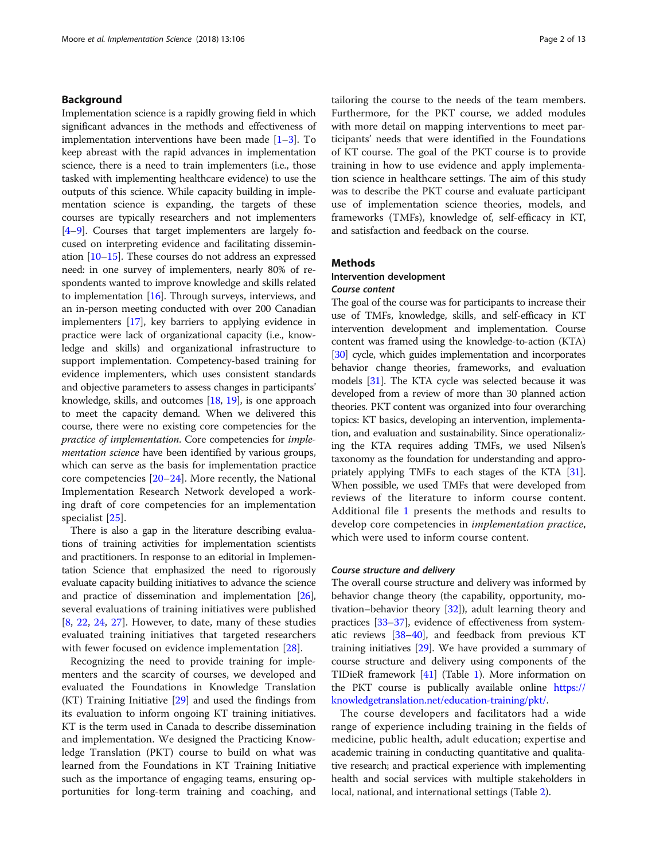## Background

Implementation science is a rapidly growing field in which significant advances in the methods and effectiveness of implementation interventions have been made [\[1](#page-11-0)–[3\]](#page-11-0). To keep abreast with the rapid advances in implementation science, there is a need to train implementers (i.e., those tasked with implementing healthcare evidence) to use the outputs of this science. While capacity building in implementation science is expanding, the targets of these courses are typically researchers and not implementers [[4](#page-11-0)–[9](#page-12-0)]. Courses that target implementers are largely focused on interpreting evidence and facilitating dissemination [\[10](#page-12-0)–[15](#page-12-0)]. These courses do not address an expressed need: in one survey of implementers, nearly 80% of respondents wanted to improve knowledge and skills related to implementation [[16\]](#page-12-0). Through surveys, interviews, and an in-person meeting conducted with over 200 Canadian implementers [\[17\]](#page-12-0), key barriers to applying evidence in practice were lack of organizational capacity (i.e., knowledge and skills) and organizational infrastructure to support implementation. Competency-based training for evidence implementers, which uses consistent standards and objective parameters to assess changes in participants' knowledge, skills, and outcomes [\[18,](#page-12-0) [19\]](#page-12-0), is one approach to meet the capacity demand. When we delivered this course, there were no existing core competencies for the practice of implementation. Core competencies for implementation science have been identified by various groups, which can serve as the basis for implementation practice core competencies  $[20-24]$  $[20-24]$  $[20-24]$  $[20-24]$ . More recently, the National Implementation Research Network developed a working draft of core competencies for an implementation specialist [[25\]](#page-12-0).

There is also a gap in the literature describing evaluations of training activities for implementation scientists and practitioners. In response to an editorial in Implementation Science that emphasized the need to rigorously evaluate capacity building initiatives to advance the science and practice of dissemination and implementation [\[26](#page-12-0)], several evaluations of training initiatives were published [[8,](#page-11-0) [22,](#page-12-0) [24](#page-12-0), [27](#page-12-0)]. However, to date, many of these studies evaluated training initiatives that targeted researchers with fewer focused on evidence implementation [[28](#page-12-0)].

Recognizing the need to provide training for implementers and the scarcity of courses, we developed and evaluated the Foundations in Knowledge Translation (KT) Training Initiative [\[29\]](#page-12-0) and used the findings from its evaluation to inform ongoing KT training initiatives. KT is the term used in Canada to describe dissemination and implementation. We designed the Practicing Knowledge Translation (PKT) course to build on what was learned from the Foundations in KT Training Initiative such as the importance of engaging teams, ensuring opportunities for long-term training and coaching, and

tailoring the course to the needs of the team members. Furthermore, for the PKT course, we added modules with more detail on mapping interventions to meet participants' needs that were identified in the Foundations of KT course. The goal of the PKT course is to provide training in how to use evidence and apply implementation science in healthcare settings. The aim of this study was to describe the PKT course and evaluate participant use of implementation science theories, models, and frameworks (TMFs), knowledge of, self-efficacy in KT, and satisfaction and feedback on the course.

#### Methods

## Intervention development Course content

The goal of the course was for participants to increase their use of TMFs, knowledge, skills, and self-efficacy in KT intervention development and implementation. Course content was framed using the knowledge-to-action (KTA) [[30](#page-12-0)] cycle, which guides implementation and incorporates behavior change theories, frameworks, and evaluation models [\[31\]](#page-12-0). The KTA cycle was selected because it was developed from a review of more than 30 planned action theories. PKT content was organized into four overarching topics: KT basics, developing an intervention, implementation, and evaluation and sustainability. Since operationalizing the KTA requires adding TMFs, we used Nilsen's taxonomy as the foundation for understanding and appropriately applying TMFs to each stages of the KTA [[31](#page-12-0)]. When possible, we used TMFs that were developed from reviews of the literature to inform course content. Additional file [1](#page-11-0) presents the methods and results to develop core competencies in implementation practice, which were used to inform course content.

#### Course structure and delivery

The overall course structure and delivery was informed by behavior change theory (the capability, opportunity, motivation–behavior theory [[32](#page-12-0)]), adult learning theory and practices [[33](#page-12-0)–[37\]](#page-12-0), evidence of effectiveness from systematic reviews [\[38](#page-12-0)–[40](#page-12-0)], and feedback from previous KT training initiatives [\[29](#page-12-0)]. We have provided a summary of course structure and delivery using components of the TIDieR framework [\[41\]](#page-12-0) (Table [1](#page-2-0)). More information on the PKT course is publically available online [https://](https://knowledgetranslation.net/education-training/pkt/) [knowledgetranslation.net/education-training/pkt/](https://knowledgetranslation.net/education-training/pkt/).

The course developers and facilitators had a wide range of experience including training in the fields of medicine, public health, adult education; expertise and academic training in conducting quantitative and qualitative research; and practical experience with implementing health and social services with multiple stakeholders in local, national, and international settings (Table [2](#page-3-0)).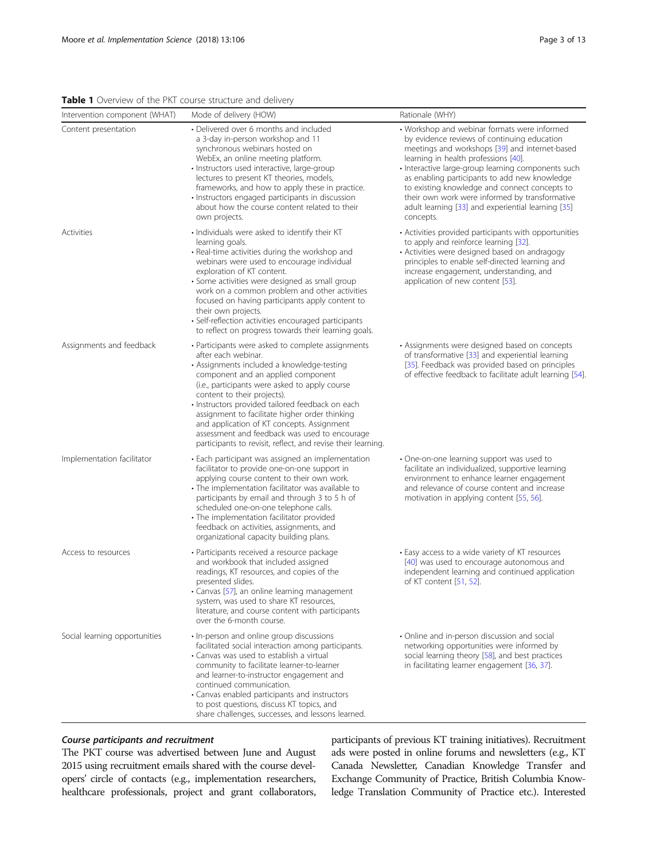<span id="page-2-0"></span>Table 1 Overview of the PKT course structure and delivery

| Intervention component (WHAT) | Mode of delivery (HOW)                                                                                                                                                                                                                                                                                                                                                                                                                                                                                             | Rationale (WHY)                                                                                                                                                                                                                                                                                                                                                                                                                                                    |
|-------------------------------|--------------------------------------------------------------------------------------------------------------------------------------------------------------------------------------------------------------------------------------------------------------------------------------------------------------------------------------------------------------------------------------------------------------------------------------------------------------------------------------------------------------------|--------------------------------------------------------------------------------------------------------------------------------------------------------------------------------------------------------------------------------------------------------------------------------------------------------------------------------------------------------------------------------------------------------------------------------------------------------------------|
| Content presentation          | • Delivered over 6 months and included<br>a 3-day in-person workshop and 11<br>synchronous webinars hosted on<br>WebEx, an online meeting platform.<br>· Instructors used interactive, large-group<br>lectures to present KT theories, models,<br>frameworks, and how to apply these in practice.<br>· Instructors engaged participants in discussion<br>about how the course content related to their<br>own projects.                                                                                            | • Workshop and webinar formats were informed<br>by evidence reviews of continuing education<br>meetings and workshops [39] and internet-based<br>learning in health professions [40].<br>· Interactive large-group learning components such<br>as enabling participants to add new knowledge<br>to existing knowledge and connect concepts to<br>their own work were informed by transformative<br>adult learning [33] and experiential learning [35]<br>concepts. |
| Activities                    | • Individuals were asked to identify their KT<br>learning goals.<br>• Real-time activities during the workshop and<br>webinars were used to encourage individual<br>exploration of KT content.<br>· Some activities were designed as small group<br>work on a common problem and other activities<br>focused on having participants apply content to<br>their own projects.<br>· Self-reflection activities encouraged participants<br>to reflect on progress towards their learning goals.                        | • Activities provided participants with opportunities<br>to apply and reinforce learning [32].<br>• Activities were designed based on andragogy<br>principles to enable self-directed learning and<br>increase engagement, understanding, and<br>application of new content [53].                                                                                                                                                                                  |
| Assignments and feedback      | • Participants were asked to complete assignments<br>after each webinar.<br>• Assignments included a knowledge-testing<br>component and an applied component<br>(i.e., participants were asked to apply course<br>content to their projects).<br>· Instructors provided tailored feedback on each<br>assignment to facilitate higher order thinking<br>and application of KT concepts. Assignment<br>assessment and feedback was used to encourage<br>participants to revisit, reflect, and revise their learning. | • Assignments were designed based on concepts<br>of transformative [33] and experiential learning<br>[35]. Feedback was provided based on principles<br>of effective feedback to facilitate adult learning [54].                                                                                                                                                                                                                                                   |
| Implementation facilitator    | • Each participant was assigned an implementation<br>facilitator to provide one-on-one support in<br>applying course content to their own work.<br>· The implementation facilitator was available to<br>participants by email and through 3 to 5 h of<br>scheduled one-on-one telephone calls.<br>· The implementation facilitator provided<br>feedback on activities, assignments, and<br>organizational capacity building plans.                                                                                 | • One-on-one learning support was used to<br>facilitate an individualized, supportive learning<br>environment to enhance learner engagement<br>and relevance of course content and increase<br>motivation in applying content [55, 56].                                                                                                                                                                                                                            |
| Access to resources           | · Participants received a resource package<br>and workbook that included assigned<br>readings, KT resources, and copies of the<br>presented slides.<br>Canvas [57], an online learning management<br>system, was used to share KT resources,<br>literature, and course content with participants<br>over the 6-month course.                                                                                                                                                                                       | • Easy access to a wide variety of KT resources<br>[40] was used to encourage autonomous and<br>independent learning and continued application<br>of KT content [51, 52].                                                                                                                                                                                                                                                                                          |
| Social learning opportunities | · In-person and online group discussions<br>facilitated social interaction among participants.<br>• Canvas was used to establish a virtual<br>community to facilitate learner-to-learner<br>and learner-to-instructor engagement and<br>continued communication.<br>• Canvas enabled participants and instructors<br>to post questions, discuss KT topics, and<br>share challenges, successes, and lessons learned.                                                                                                | • Online and in-person discussion and social<br>networking opportunities were informed by<br>social learning theory [58], and best practices<br>in facilitating learner engagement [36, 37].                                                                                                                                                                                                                                                                       |

## Course participants and recruitment

The PKT course was advertised between June and August 2015 using recruitment emails shared with the course developers' circle of contacts (e.g., implementation researchers, healthcare professionals, project and grant collaborators,

participants of previous KT training initiatives). Recruitment ads were posted in online forums and newsletters (e.g., KT Canada Newsletter, Canadian Knowledge Transfer and Exchange Community of Practice, British Columbia Knowledge Translation Community of Practice etc.). Interested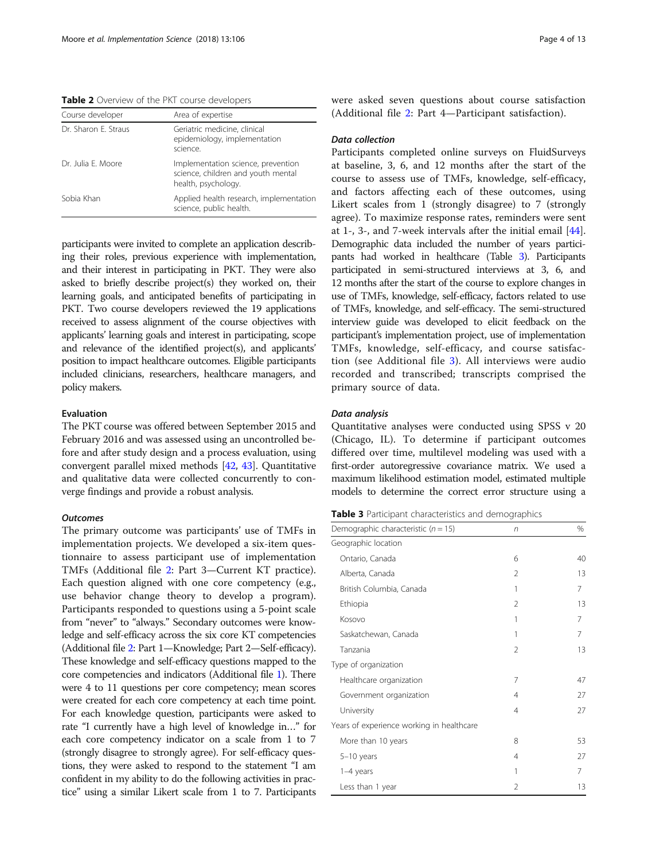<span id="page-3-0"></span>Table 2 Overview of the PKT course developers

| Course developer     | Area of expertise                                                                               |
|----------------------|-------------------------------------------------------------------------------------------------|
| Dr. Sharon E. Straus | Geriatric medicine, clinical<br>epidemiology, implementation<br>science.                        |
| Dr. Julia F. Moore   | Implementation science, prevention<br>science, children and youth mental<br>health, psychology. |
| Sobia Khan           | Applied health research, implementation<br>science, public health.                              |

participants were invited to complete an application describing their roles, previous experience with implementation, and their interest in participating in PKT. They were also asked to briefly describe project(s) they worked on, their learning goals, and anticipated benefits of participating in PKT. Two course developers reviewed the 19 applications received to assess alignment of the course objectives with applicants' learning goals and interest in participating, scope and relevance of the identified project(s), and applicants' position to impact healthcare outcomes. Eligible participants included clinicians, researchers, healthcare managers, and policy makers.

#### Evaluation

The PKT course was offered between September 2015 and February 2016 and was assessed using an uncontrolled before and after study design and a process evaluation, using convergent parallel mixed methods [\[42,](#page-12-0) [43\]](#page-12-0). Quantitative and qualitative data were collected concurrently to converge findings and provide a robust analysis.

#### **Outcomes**

The primary outcome was participants' use of TMFs in implementation projects. We developed a six-item questionnaire to assess participant use of implementation TMFs (Additional file [2:](#page-11-0) Part 3—Current KT practice). Each question aligned with one core competency (e.g., use behavior change theory to develop a program). Participants responded to questions using a 5-point scale from "never" to "always." Secondary outcomes were knowledge and self-efficacy across the six core KT competencies (Additional file [2](#page-11-0): Part 1—Knowledge; Part 2—Self-efficacy). These knowledge and self-efficacy questions mapped to the core competencies and indicators (Additional file [1\)](#page-11-0). There were 4 to 11 questions per core competency; mean scores were created for each core competency at each time point. For each knowledge question, participants were asked to rate "I currently have a high level of knowledge in…" for each core competency indicator on a scale from 1 to 7 (strongly disagree to strongly agree). For self-efficacy questions, they were asked to respond to the statement "I am confident in my ability to do the following activities in practice" using a similar Likert scale from 1 to 7. Participants were asked seven questions about course satisfaction (Additional file [2:](#page-11-0) Part 4—Participant satisfaction).

#### Data collection

Participants completed online surveys on FluidSurveys at baseline, 3, 6, and 12 months after the start of the course to assess use of TMFs, knowledge, self-efficacy, and factors affecting each of these outcomes, using Likert scales from 1 (strongly disagree) to 7 (strongly agree). To maximize response rates, reminders were sent at 1-, 3-, and 7-week intervals after the initial email [\[44](#page-12-0)]. Demographic data included the number of years participants had worked in healthcare (Table 3). Participants participated in semi-structured interviews at 3, 6, and 12 months after the start of the course to explore changes in use of TMFs, knowledge, self-efficacy, factors related to use of TMFs, knowledge, and self-efficacy. The semi-structured interview guide was developed to elicit feedback on the participant's implementation project, use of implementation TMFs, knowledge, self-efficacy, and course satisfaction (see Additional file [3](#page-11-0)). All interviews were audio recorded and transcribed; transcripts comprised the primary source of data.

#### Data analysis

Quantitative analyses were conducted using SPSS v 20 (Chicago, IL). To determine if participant outcomes differed over time, multilevel modeling was used with a first-order autoregressive covariance matrix. We used a maximum likelihood estimation model, estimated multiple models to determine the correct error structure using a

Table 3 Participant characteristics and demographics

| Demographic characteristic ( $n = 15$ )   | n              | %  |
|-------------------------------------------|----------------|----|
| Geographic location                       |                |    |
| Ontario, Canada                           | 6              | 40 |
| Alberta, Canada                           | $\mathfrak{D}$ | 13 |
| British Columbia, Canada                  | 1              | 7  |
| Ethiopia                                  | 2              | 13 |
| Kosovo                                    | 1              | 7  |
| Saskatchewan, Canada                      | 1              | 7  |
| Tanzania                                  | $\mathfrak{D}$ | 13 |
| Type of organization                      |                |    |
| Healthcare organization                   | 7              | 47 |
| Government organization                   | 4              | 27 |
| University                                | 4              | 27 |
| Years of experience working in healthcare |                |    |
| More than 10 years                        | 8              | 53 |
| $5-10$ years                              | 4              | 27 |
| 1-4 years                                 | 1              | 7  |
| Less than 1 year                          | 2              | 13 |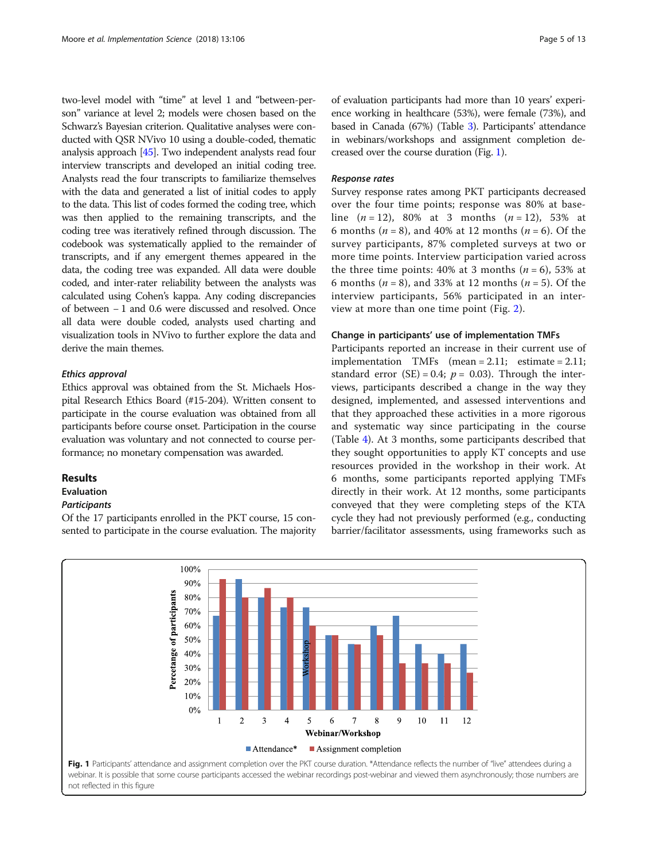two-level model with "time" at level 1 and "between-person" variance at level 2; models were chosen based on the Schwarz's Bayesian criterion. Qualitative analyses were conducted with QSR NVivo 10 using a double-coded, thematic analysis approach [\[45\]](#page-12-0). Two independent analysts read four interview transcripts and developed an initial coding tree. Analysts read the four transcripts to familiarize themselves with the data and generated a list of initial codes to apply to the data. This list of codes formed the coding tree, which was then applied to the remaining transcripts, and the coding tree was iteratively refined through discussion. The codebook was systematically applied to the remainder of transcripts, and if any emergent themes appeared in the data, the coding tree was expanded. All data were double coded, and inter-rater reliability between the analysts was calculated using Cohen's kappa. Any coding discrepancies of between − 1 and 0.6 were discussed and resolved. Once all data were double coded, analysts used charting and visualization tools in NVivo to further explore the data and derive the main themes.

## Ethics approval

Ethics approval was obtained from the St. Michaels Hospital Research Ethics Board (#15-204). Written consent to participate in the course evaluation was obtained from all participants before course onset. Participation in the course evaluation was voluntary and not connected to course performance; no monetary compensation was awarded.

#### Results

## Evaluation

#### **Participants**

Of the 17 participants enrolled in the PKT course, 15 consented to participate in the course evaluation. The majority

of evaluation participants had more than 10 years' experience working in healthcare (53%), were female (73%), and based in Canada (67%) (Table [3\)](#page-3-0). Participants' attendance in webinars/workshops and assignment completion decreased over the course duration (Fig. 1).

## Response rates

Survey response rates among PKT participants decreased over the four time points; response was 80% at baseline  $(n = 12)$ , 80% at 3 months  $(n = 12)$ , 53% at 6 months ( $n = 8$ ), and 40% at 12 months ( $n = 6$ ). Of the survey participants, 87% completed surveys at two or more time points. Interview participation varied across the three time points: 40% at 3 months  $(n = 6)$ , 53% at 6 months ( $n = 8$ ), and 33% at 12 months ( $n = 5$ ). Of the interview participants, 56% participated in an interview at more than one time point (Fig. [2](#page-5-0)).

#### Change in participants' use of implementation TMFs

Participants reported an increase in their current use of implementation TMFs (mean = 2.11; estimate = 2.11; standard error (SE) = 0.4;  $p = 0.03$ ). Through the interviews, participants described a change in the way they designed, implemented, and assessed interventions and that they approached these activities in a more rigorous and systematic way since participating in the course (Table [4](#page-6-0)). At 3 months, some participants described that they sought opportunities to apply KT concepts and use resources provided in the workshop in their work. At 6 months, some participants reported applying TMFs directly in their work. At 12 months, some participants conveyed that they were completing steps of the KTA cycle they had not previously performed (e.g., conducting barrier/facilitator assessments, using frameworks such as

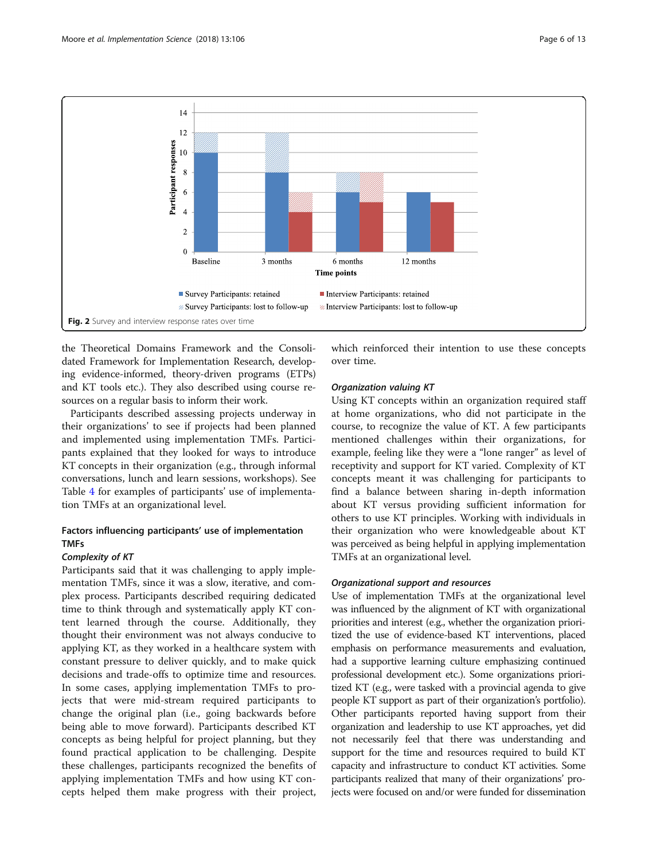<span id="page-5-0"></span>

the Theoretical Domains Framework and the Consolidated Framework for Implementation Research, developing evidence-informed, theory-driven programs (ETPs) and KT tools etc.). They also described using course resources on a regular basis to inform their work.

Participants described assessing projects underway in their organizations' to see if projects had been planned and implemented using implementation TMFs. Participants explained that they looked for ways to introduce KT concepts in their organization (e.g., through informal conversations, lunch and learn sessions, workshops). See Table [4](#page-6-0) for examples of participants' use of implementation TMFs at an organizational level.

## Factors influencing participants' use of implementation TMFs

## Complexity of KT

Participants said that it was challenging to apply implementation TMFs, since it was a slow, iterative, and complex process. Participants described requiring dedicated time to think through and systematically apply KT content learned through the course. Additionally, they thought their environment was not always conducive to applying KT, as they worked in a healthcare system with constant pressure to deliver quickly, and to make quick decisions and trade-offs to optimize time and resources. In some cases, applying implementation TMFs to projects that were mid-stream required participants to change the original plan (i.e., going backwards before being able to move forward). Participants described KT concepts as being helpful for project planning, but they found practical application to be challenging. Despite these challenges, participants recognized the benefits of applying implementation TMFs and how using KT concepts helped them make progress with their project, which reinforced their intention to use these concepts over time.

## Organization valuing KT

Using KT concepts within an organization required staff at home organizations, who did not participate in the course, to recognize the value of KT. A few participants mentioned challenges within their organizations, for example, feeling like they were a "lone ranger" as level of receptivity and support for KT varied. Complexity of KT concepts meant it was challenging for participants to find a balance between sharing in-depth information about KT versus providing sufficient information for others to use KT principles. Working with individuals in their organization who were knowledgeable about KT was perceived as being helpful in applying implementation TMFs at an organizational level.

## Organizational support and resources

Use of implementation TMFs at the organizational level was influenced by the alignment of KT with organizational priorities and interest (e.g., whether the organization prioritized the use of evidence-based KT interventions, placed emphasis on performance measurements and evaluation, had a supportive learning culture emphasizing continued professional development etc.). Some organizations prioritized KT (e.g., were tasked with a provincial agenda to give people KT support as part of their organization's portfolio). Other participants reported having support from their organization and leadership to use KT approaches, yet did not necessarily feel that there was understanding and support for the time and resources required to build KT capacity and infrastructure to conduct KT activities. Some participants realized that many of their organizations' projects were focused on and/or were funded for dissemination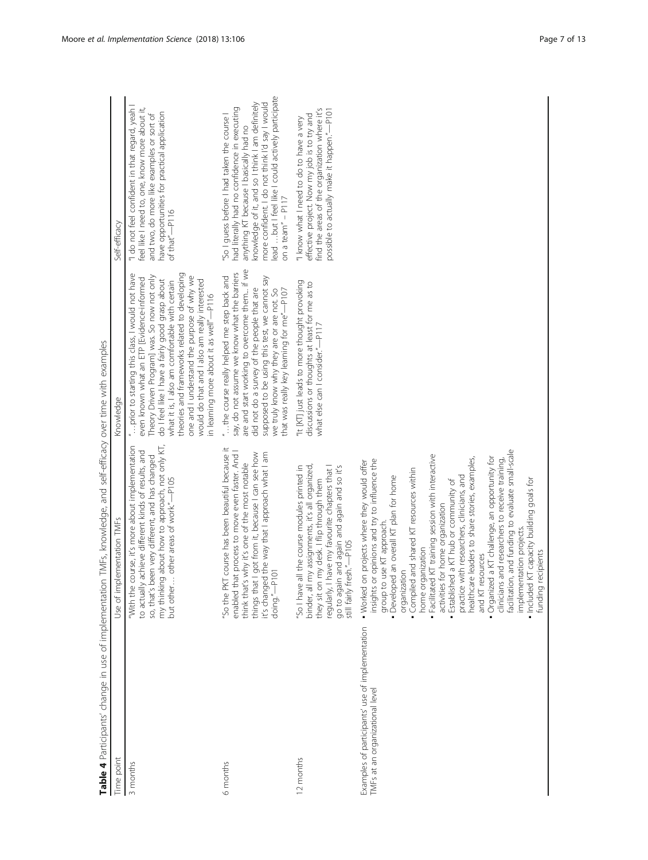<span id="page-6-0"></span>

| Time point                                                                         | Use of implementation TMFs                                                                                                                                                                                                                                                                                                                                                                                                                                                                                                                                                                                                                                                                                                                                             | Knowledge                                                                                                                                                                                                                                                                                                                                                                                                                                    | Self-efficacy                                                                                                                                                                                                                                                                                                          |
|------------------------------------------------------------------------------------|------------------------------------------------------------------------------------------------------------------------------------------------------------------------------------------------------------------------------------------------------------------------------------------------------------------------------------------------------------------------------------------------------------------------------------------------------------------------------------------------------------------------------------------------------------------------------------------------------------------------------------------------------------------------------------------------------------------------------------------------------------------------|----------------------------------------------------------------------------------------------------------------------------------------------------------------------------------------------------------------------------------------------------------------------------------------------------------------------------------------------------------------------------------------------------------------------------------------------|------------------------------------------------------------------------------------------------------------------------------------------------------------------------------------------------------------------------------------------------------------------------------------------------------------------------|
| 3 months                                                                           | my thinking about how to approach, not only KT,<br>"With the course, it's more about implementation<br>to actually achieve different kinds of results, and<br>so, that's been very different, and has changed<br>but other  other areas of work."-P105                                                                                                                                                                                                                                                                                                                                                                                                                                                                                                                 | " prior to starting this class, I would not have<br>theories and frameworks related to developing<br>Theory Driven Program] was. So now not only<br>one and I understand the purpose of why we<br>even known what an ETP [Evidence-informed<br>do I feel like I have a fairly good grasp about<br>would do that and I also am really interested<br>what it is, I also am comfortable with certain<br>in learning more about it as well"-P116 | "I do not feel confident in that regard, yeah I<br>feel like I need to, one, know more about it,<br>have opportunities for practical application<br>and two, do more like examples or sort of<br>of that"-P116                                                                                                         |
| 6 months                                                                           | "So the PKT course has been beautiful because it<br>enabled that process to move even faster. And I<br>things that I got from it, because I can see how<br>it's changed the way that I approach what I am<br>think that's why it's one of the most notable<br>doing."-P101                                                                                                                                                                                                                                                                                                                                                                                                                                                                                             | are and start working to overcome them if we<br>say, do not assume we know what the barriers<br>"the course really helped me step back and<br>supposed to be using this test, we cannot say<br>did not do a survey of the people that are<br>we truly know why they are or are not. So<br>that was really key learning for me"-P107                                                                                                          | lead  but I feel like I could actively participate<br>more confident. I do not think I'd say I would<br>knowledge of it, and so I think I am definitely<br>had literally had no confidence in executing<br>"So I guess before I had taken the course I<br>anything KT because I basically had no<br>on a team" $ P117$ |
| 12 months                                                                          | regularly, I have my favourite chapters that I<br>"So I have all the course modules printed in<br>my assignments, it's all organized,<br>go to again and again and again and so it's<br>they sit on my desk. I flip through them<br>still fairly fresh."-P105<br>binder, all                                                                                                                                                                                                                                                                                                                                                                                                                                                                                           | "It [KT] just leads to more thought provoking<br>discussions or thoughts at least for me as to<br>what else can I consider."-P117                                                                                                                                                                                                                                                                                                            | find the areas of the organization where it's<br>possible to actually make it happen."-P101<br>effective project. Now my job is to try and<br>"I know what I need to do to have a very                                                                                                                                 |
| Examples of participants' use of implementation<br>TMFs at an organizational level | facilitation, and funding to evaluate small-scale<br>Facilitated KT training session with interactive<br>• Organized a KT challenge, an opportunity for<br>healthcare leaders to share stories, examples,<br>insights or opinions and try to influence the<br>clinicians and researchers to receive training,<br>. Worked on projects where they would offer<br>Compiled and shared KT resources within<br>practice with researchers, clinicians, and<br>• Developed an overall KT plan for home<br>KT capacity building goals for<br>Established a KT hub or community of<br>activities for home organization<br>group to use KT approach.<br>implementation projects.<br>home organization<br>ecipients<br>and KT resources<br>organization<br>· Included<br>funding |                                                                                                                                                                                                                                                                                                                                                                                                                                              |                                                                                                                                                                                                                                                                                                                        |
|                                                                                    |                                                                                                                                                                                                                                                                                                                                                                                                                                                                                                                                                                                                                                                                                                                                                                        |                                                                                                                                                                                                                                                                                                                                                                                                                                              |                                                                                                                                                                                                                                                                                                                        |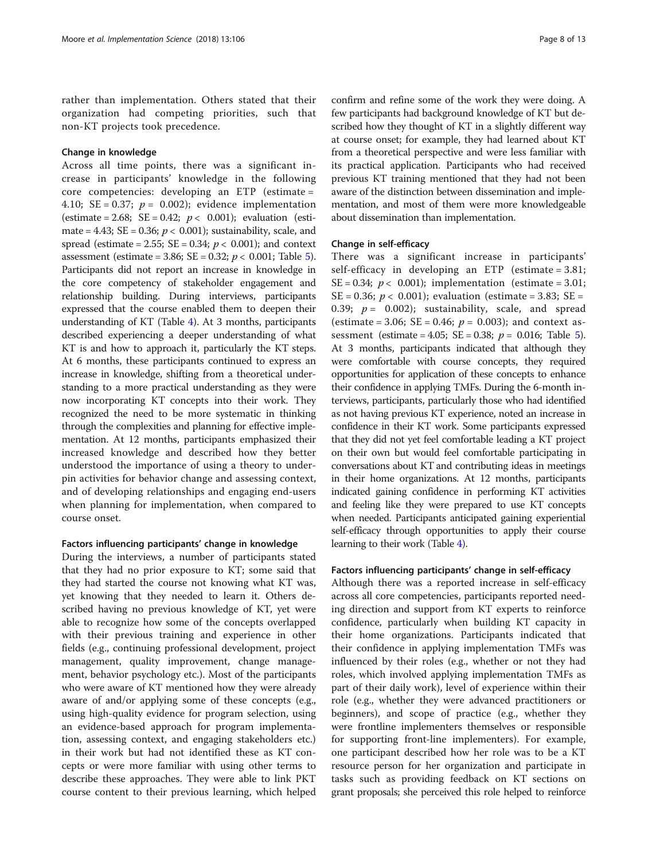rather than implementation. Others stated that their organization had competing priorities, such that non-KT projects took precedence.

## Change in knowledge

Across all time points, there was a significant increase in participants' knowledge in the following core competencies: developing an ETP (estimate = 4.10; SE = 0.37;  $p = 0.002$ ); evidence implementation (estimate = 2.68; SE = 0.42;  $p < 0.001$ ); evaluation (estimate = 4.43; SE = 0.36;  $p < 0.001$ ); sustainability, scale, and spread (estimate = 2.55;  $SE = 0.34$ ;  $p < 0.001$ ); and context assessment (estimate = 3.86; SE = 0.32;  $p < 0.001$ ; Table [5](#page-8-0)). Participants did not report an increase in knowledge in the core competency of stakeholder engagement and relationship building. During interviews, participants expressed that the course enabled them to deepen their understanding of KT (Table [4\)](#page-6-0). At 3 months, participants described experiencing a deeper understanding of what KT is and how to approach it, particularly the KT steps. At 6 months, these participants continued to express an increase in knowledge, shifting from a theoretical understanding to a more practical understanding as they were now incorporating KT concepts into their work. They recognized the need to be more systematic in thinking through the complexities and planning for effective implementation. At 12 months, participants emphasized their increased knowledge and described how they better understood the importance of using a theory to underpin activities for behavior change and assessing context, and of developing relationships and engaging end-users when planning for implementation, when compared to course onset.

## Factors influencing participants' change in knowledge

During the interviews, a number of participants stated that they had no prior exposure to KT; some said that they had started the course not knowing what KT was, yet knowing that they needed to learn it. Others described having no previous knowledge of KT, yet were able to recognize how some of the concepts overlapped with their previous training and experience in other fields (e.g., continuing professional development, project management, quality improvement, change management, behavior psychology etc.). Most of the participants who were aware of KT mentioned how they were already aware of and/or applying some of these concepts (e.g., using high-quality evidence for program selection, using an evidence-based approach for program implementation, assessing context, and engaging stakeholders etc.) in their work but had not identified these as KT concepts or were more familiar with using other terms to describe these approaches. They were able to link PKT course content to their previous learning, which helped

confirm and refine some of the work they were doing. A few participants had background knowledge of KT but described how they thought of KT in a slightly different way at course onset; for example, they had learned about KT from a theoretical perspective and were less familiar with its practical application. Participants who had received previous KT training mentioned that they had not been aware of the distinction between dissemination and implementation, and most of them were more knowledgeable about dissemination than implementation.

## Change in self-efficacy

There was a significant increase in participants' self-efficacy in developing an ETP (estimate = 3.81; SE = 0.34;  $p < 0.001$ ); implementation (estimate = 3.01; SE = 0.36;  $p < 0.001$ ); evaluation (estimate = 3.83; SE = 0.39;  $p = 0.002$ ; sustainability, scale, and spread (estimate = 3.06; SE = 0.46;  $p = 0.003$ ); and context as-sessment (estimate = 4.0[5](#page-8-0); SE = 0.38;  $p = 0.016$ ; Table 5). At 3 months, participants indicated that although they were comfortable with course concepts, they required opportunities for application of these concepts to enhance their confidence in applying TMFs. During the 6-month interviews, participants, particularly those who had identified as not having previous KT experience, noted an increase in confidence in their KT work. Some participants expressed that they did not yet feel comfortable leading a KT project on their own but would feel comfortable participating in conversations about KT and contributing ideas in meetings in their home organizations. At 12 months, participants indicated gaining confidence in performing KT activities and feeling like they were prepared to use KT concepts when needed. Participants anticipated gaining experiential self-efficacy through opportunities to apply their course learning to their work (Table [4\)](#page-6-0).

## Factors influencing participants' change in self-efficacy

Although there was a reported increase in self-efficacy across all core competencies, participants reported needing direction and support from KT experts to reinforce confidence, particularly when building KT capacity in their home organizations. Participants indicated that their confidence in applying implementation TMFs was influenced by their roles (e.g., whether or not they had roles, which involved applying implementation TMFs as part of their daily work), level of experience within their role (e.g., whether they were advanced practitioners or beginners), and scope of practice (e.g., whether they were frontline implementers themselves or responsible for supporting front-line implementers). For example, one participant described how her role was to be a KT resource person for her organization and participate in tasks such as providing feedback on KT sections on grant proposals; she perceived this role helped to reinforce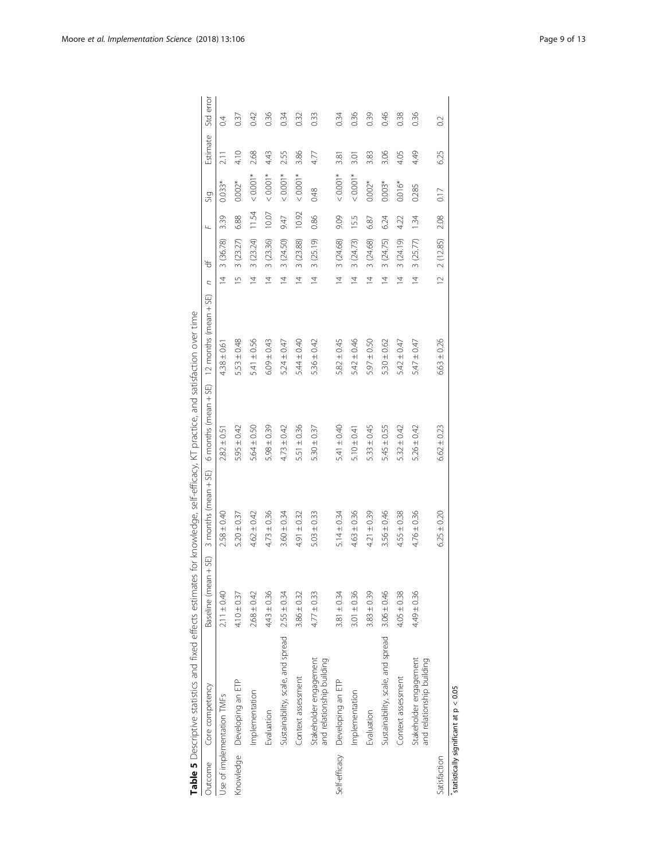<span id="page-8-0"></span>

|              | Table 5 Descriptive statistics and fixed effects estimates for knowledge, self-efficacy, KT practice, and satisfaction over time |                      |                      |                      |                       |                |           |       |          |          |                |
|--------------|----------------------------------------------------------------------------------------------------------------------------------|----------------------|----------------------|----------------------|-----------------------|----------------|-----------|-------|----------|----------|----------------|
| Outcome      | Core competency                                                                                                                  | Baseline (mean + SE) | 3 months (mean + SE) | 6 months (mean + SE) | 12 months (mean + SE) | C              | ₩         | Щ     | Sig      | Estimate | Std error      |
|              | Use of implementation TMFs                                                                                                       | $2.11 \pm 0.40$      | $2.58 \pm 0.40$      | $2.82 \pm 0.51$      | $4.38 \pm 0.61$       | $\overline{4}$ | 3 (36.78) | 3.39  | $0.033*$ | 2.11     | $\overline{0}$ |
|              | Knowledge Developing an ETP                                                                                                      | $4.10 \pm 0.37$      | $5.20 \pm 0.37$      | $5.95 \pm 0.42$      | $5.53 \pm 0.48$       | $\frac{5}{2}$  | 3(23.27)  | 6.88  | $0.002*$ | 4.10     | 037            |
|              | Implementation                                                                                                                   | $2.68 \pm 0.42$      | $4.62 \pm 0.42$      | $5.64 \pm 0.50$      | $5.41 \pm 0.56$       | $\overline{4}$ | 3(23.24)  | 11.54 | $0.001*$ | 2.68     | 0.42           |
|              | Evaluation                                                                                                                       | $4.43 \pm 0.36$      | $4.73 \pm 0.36$      | $5.98 \pm 0.39$      | $6.09 \pm 0.43$       | $\overline{4}$ | 3 (23.36) | 10.07 | $0.001*$ | 4.43     | 0.36           |
|              | Sustainability, scale, and spread 2.55 ± 0.34                                                                                    |                      | $3.60 \pm 0.34$      | $4.73 \pm 0.42$      | $5.24 \pm 0.47$       | $\overline{4}$ | 3(24.50)  | 9.47  | $0.001*$ | 2.55     | 0.34           |
|              | Context assessment                                                                                                               | $3.86 \pm 0.32$      | $4.91 \pm 0.32$      | $5.51 \pm 0.36$      | $5.44 \pm 0.40$       | $\overline{4}$ | 3 (23.88) | 10.92 | $0.001*$ | 3.86     | 0.32           |
|              | and relationship building<br>Stakeholder engagement                                                                              | $4.77 \pm 0.33$      | $5.03 \pm 0.33$      | $5.30 \pm 0.37$      | $5.36 \pm 0.42$       | $\overline{4}$ | 3 (25.19) | 0.86  | 0.48     | 4.77     | 0.33           |
|              | Self-efficacy Developing an ETP                                                                                                  | $3.81 \pm 0.34$      | $5.14 \pm 0.34$      | $5.41 \pm 0.40$      | $5.82 \pm 0.45$       | $\overline{4}$ | 3 (24.68) | 9.09  | $0.001*$ | 3.81     | 0.34           |
|              | Implementation                                                                                                                   | $3.01 \pm 0.36$      | $4.63 \pm 0.36$      | $5.10 \pm 0.41$      | $5.42 \pm 0.46$       | $\overline{4}$ | 3(24.73)  | 15.5  | $0.001*$ | 3.01     | 0.36           |
|              | Evaluation                                                                                                                       | $3.83 \pm 0.39$      | $4.21 \pm 0.39$      | $5.33 \pm 0.45$      | $5.97 \pm 0.50$       | $\overline{4}$ | 3 (24.68) | 6.87  | $0.002*$ | 3.83     | 0.39           |
|              | Sustainability, scale, and spread 3.06 ± 0.46                                                                                    |                      | $3.56 \pm 0.46$      | $5.45 \pm 0.55$      | $5.30 \pm 0.62$       | $\overline{4}$ | 3 (24.75) | 6.24  | $0.003*$ | 3.06     | 0.46           |
|              | Context assessment                                                                                                               | $4.05 \pm 0.38$      | $4.55 \pm 0.38$      | $5.32 \pm 0.42$      | $5.42 \pm 0.47$       | $\overline{4}$ | 3 (24.19) | 4.22  | $0.016*$ | 4.05     | 0.38           |
|              | Stakeholder engagement<br>and relationship building                                                                              | $4.49 \pm 0.36$      | $4.76 \pm 0.36$      | $5.26 \pm 0.42$      | $5.47 \pm 0.47$       | $\overline{4}$ | 3(25.77)  | 1.34  | 0.285    | 4.49     | 0.36           |
| Satisfaction |                                                                                                                                  |                      | $6.25 \pm 0.20$      | $6.62 \pm 0.23$      | $6.63 \pm 0.26$       | $\approx$      | 2 (12.85) | 2.08  | 0.17     | 6.25     | $\approx$      |
|              | statistically significant at p < 0.05                                                                                            |                      |                      |                      |                       |                |           |       |          |          |                |

ā,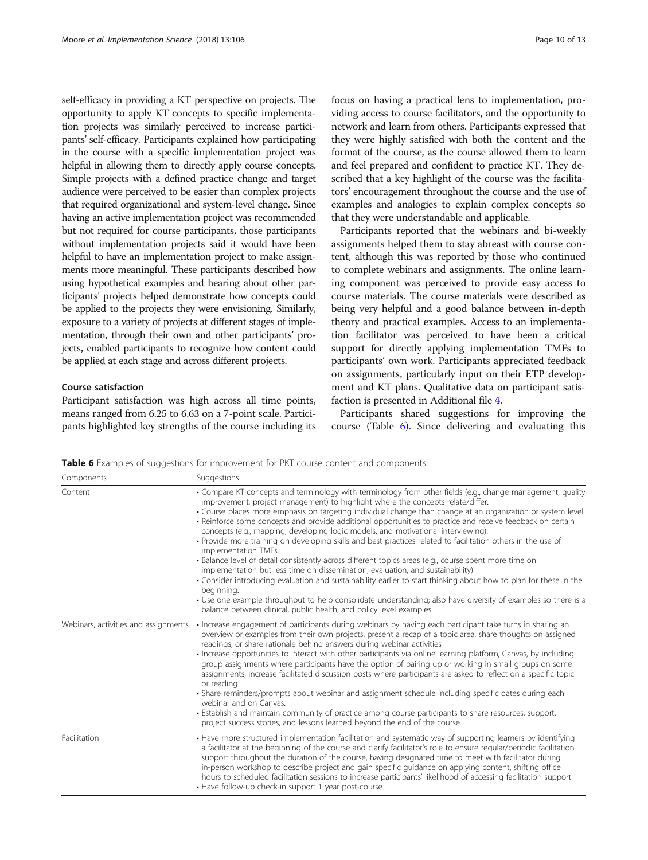self-efficacy in providing a KT perspective on projects. The opportunity to apply KT concepts to specific implementation projects was similarly perceived to increase participants' self-efficacy. Participants explained how participating in the course with a specific implementation project was helpful in allowing them to directly apply course concepts. Simple projects with a defined practice change and target audience were perceived to be easier than complex projects that required organizational and system-level change. Since having an active implementation project was recommended but not required for course participants, those participants without implementation projects said it would have been helpful to have an implementation project to make assignments more meaningful. These participants described how using hypothetical examples and hearing about other participants' projects helped demonstrate how concepts could be applied to the projects they were envisioning. Similarly, exposure to a variety of projects at different stages of implementation, through their own and other participants' projects, enabled participants to recognize how content could be applied at each stage and across different projects.

#### Course satisfaction

Participant satisfaction was high across all time points, means ranged from 6.25 to 6.63 on a 7-point scale. Participants highlighted key strengths of the course including its focus on having a practical lens to implementation, providing access to course facilitators, and the opportunity to network and learn from others. Participants expressed that they were highly satisfied with both the content and the format of the course, as the course allowed them to learn and feel prepared and confident to practice KT. They described that a key highlight of the course was the facilitators' encouragement throughout the course and the use of examples and analogies to explain complex concepts so that they were understandable and applicable.

Participants reported that the webinars and bi-weekly assignments helped them to stay abreast with course content, although this was reported by those who continued to complete webinars and assignments. The online learning component was perceived to provide easy access to course materials. The course materials were described as being very helpful and a good balance between in-depth theory and practical examples. Access to an implementation facilitator was perceived to have been a critical support for directly applying implementation TMFs to participants' own work. Participants appreciated feedback on assignments, particularly input on their ETP development and KT plans. Qualitative data on participant satisfaction is presented in Additional file [4.](#page-11-0)

Participants shared suggestions for improving the course (Table 6). Since delivering and evaluating this

Table 6 Examples of suggestions for improvement for PKT course content and components

| Components                           | Suggestions                                                                                                                                                                                                                                                                                                                                                                                                                                                                                                                                                                                                                                                                                                                                                                                                                                                                                                                                                                                                                                                                                                                                                                    |
|--------------------------------------|--------------------------------------------------------------------------------------------------------------------------------------------------------------------------------------------------------------------------------------------------------------------------------------------------------------------------------------------------------------------------------------------------------------------------------------------------------------------------------------------------------------------------------------------------------------------------------------------------------------------------------------------------------------------------------------------------------------------------------------------------------------------------------------------------------------------------------------------------------------------------------------------------------------------------------------------------------------------------------------------------------------------------------------------------------------------------------------------------------------------------------------------------------------------------------|
| Content                              | • Compare KT concepts and terminology with terminology from other fields (e.g., change management, quality<br>improvement, project management) to highlight where the concepts relate/differ.<br>· Course places more emphasis on targeting individual change than change at an organization or system level.<br>• Reinforce some concepts and provide additional opportunities to practice and receive feedback on certain<br>concepts (e.g., mapping, developing logic models, and motivational interviewing).<br>• Provide more training on developing skills and best practices related to facilitation others in the use of<br>implementation TMFs.<br>· Balance level of detail consistently across different topics areas (e.g., course spent more time on<br>implementation but less time on dissemination, evaluation, and sustainability).<br>• Consider introducing evaluation and sustainability earlier to start thinking about how to plan for these in the<br>beginning.<br>• Use one example throughout to help consolidate understanding; also have diversity of examples so there is a<br>balance between clinical, public health, and policy level examples |
| Webinars, activities and assignments | • Increase engagement of participants during webinars by having each participant take turns in sharing an<br>overview or examples from their own projects, present a recap of a topic area, share thoughts on assigned<br>readings, or share rationale behind answers during webinar activities<br>· Increase opportunities to interact with other participants via online learning platform, Canvas, by including<br>group assignments where participants have the option of pairing up or working in small groups on some<br>assignments, increase facilitated discussion posts where participants are asked to reflect on a specific topic<br>or reading<br>· Share reminders/prompts about webinar and assignment schedule including specific dates during each<br>webinar and on Canvas.<br>. Establish and maintain community of practice among course participants to share resources, support,<br>project success stories, and lessons learned beyond the end of the course.                                                                                                                                                                                           |
| Facilitation                         | • Have more structured implementation facilitation and systematic way of supporting learners by identifying<br>a facilitator at the beginning of the course and clarify facilitator's role to ensure regular/periodic facilitation<br>support throughout the duration of the course, having designated time to meet with facilitator during<br>in-person workshop to describe project and gain specific guidance on applying content, shifting office<br>hours to scheduled facilitation sessions to increase participants' likelihood of accessing facilitation support.<br>• Have follow-up check-in support 1 year post-course.                                                                                                                                                                                                                                                                                                                                                                                                                                                                                                                                             |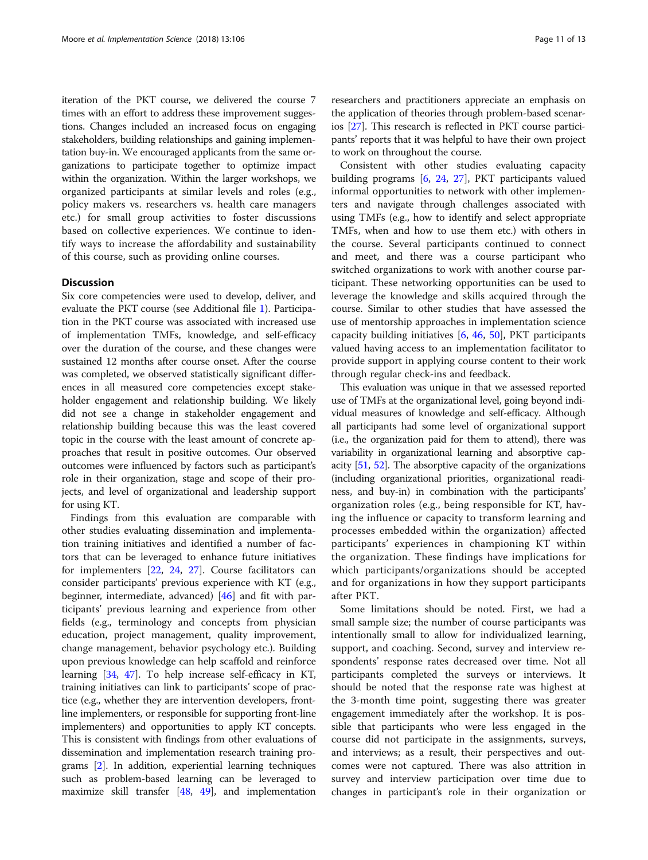iteration of the PKT course, we delivered the course 7 times with an effort to address these improvement suggestions. Changes included an increased focus on engaging stakeholders, building relationships and gaining implementation buy-in. We encouraged applicants from the same organizations to participate together to optimize impact within the organization. Within the larger workshops, we organized participants at similar levels and roles (e.g., policy makers vs. researchers vs. health care managers etc.) for small group activities to foster discussions based on collective experiences. We continue to identify ways to increase the affordability and sustainability of this course, such as providing online courses.

## **Discussion**

Six core competencies were used to develop, deliver, and evaluate the PKT course (see Additional file [1](#page-11-0)). Participation in the PKT course was associated with increased use of implementation TMFs, knowledge, and self-efficacy over the duration of the course, and these changes were sustained 12 months after course onset. After the course was completed, we observed statistically significant differences in all measured core competencies except stakeholder engagement and relationship building. We likely did not see a change in stakeholder engagement and relationship building because this was the least covered topic in the course with the least amount of concrete approaches that result in positive outcomes. Our observed outcomes were influenced by factors such as participant's role in their organization, stage and scope of their projects, and level of organizational and leadership support for using KT.

Findings from this evaluation are comparable with other studies evaluating dissemination and implementation training initiatives and identified a number of factors that can be leveraged to enhance future initiatives for implementers [\[22](#page-12-0), [24,](#page-12-0) [27](#page-12-0)]. Course facilitators can consider participants' previous experience with KT (e.g., beginner, intermediate, advanced) [[46](#page-12-0)] and fit with participants' previous learning and experience from other fields (e.g., terminology and concepts from physician education, project management, quality improvement, change management, behavior psychology etc.). Building upon previous knowledge can help scaffold and reinforce learning [[34](#page-12-0), [47](#page-12-0)]. To help increase self-efficacy in KT, training initiatives can link to participants' scope of practice (e.g., whether they are intervention developers, frontline implementers, or responsible for supporting front-line implementers) and opportunities to apply KT concepts. This is consistent with findings from other evaluations of dissemination and implementation research training programs [\[2](#page-11-0)]. In addition, experiential learning techniques such as problem-based learning can be leveraged to maximize skill transfer  $[48, 49]$  $[48, 49]$  $[48, 49]$ , and implementation

researchers and practitioners appreciate an emphasis on the application of theories through problem-based scenarios [[27](#page-12-0)]. This research is reflected in PKT course participants' reports that it was helpful to have their own project to work on throughout the course.

Consistent with other studies evaluating capacity building programs [[6,](#page-11-0) [24](#page-12-0), [27\]](#page-12-0), PKT participants valued informal opportunities to network with other implementers and navigate through challenges associated with using TMFs (e.g., how to identify and select appropriate TMFs, when and how to use them etc.) with others in the course. Several participants continued to connect and meet, and there was a course participant who switched organizations to work with another course participant. These networking opportunities can be used to leverage the knowledge and skills acquired through the course. Similar to other studies that have assessed the use of mentorship approaches in implementation science capacity building initiatives [[6,](#page-11-0) [46](#page-12-0), [50\]](#page-12-0), PKT participants valued having access to an implementation facilitator to provide support in applying course content to their work through regular check-ins and feedback.

This evaluation was unique in that we assessed reported use of TMFs at the organizational level, going beyond individual measures of knowledge and self-efficacy. Although all participants had some level of organizational support (i.e., the organization paid for them to attend), there was variability in organizational learning and absorptive capacity [\[51,](#page-12-0) [52](#page-12-0)]. The absorptive capacity of the organizations (including organizational priorities, organizational readiness, and buy-in) in combination with the participants' organization roles (e.g., being responsible for KT, having the influence or capacity to transform learning and processes embedded within the organization) affected participants' experiences in championing KT within the organization. These findings have implications for which participants/organizations should be accepted and for organizations in how they support participants after PKT.

Some limitations should be noted. First, we had a small sample size; the number of course participants was intentionally small to allow for individualized learning, support, and coaching. Second, survey and interview respondents' response rates decreased over time. Not all participants completed the surveys or interviews. It should be noted that the response rate was highest at the 3-month time point, suggesting there was greater engagement immediately after the workshop. It is possible that participants who were less engaged in the course did not participate in the assignments, surveys, and interviews; as a result, their perspectives and outcomes were not captured. There was also attrition in survey and interview participation over time due to changes in participant's role in their organization or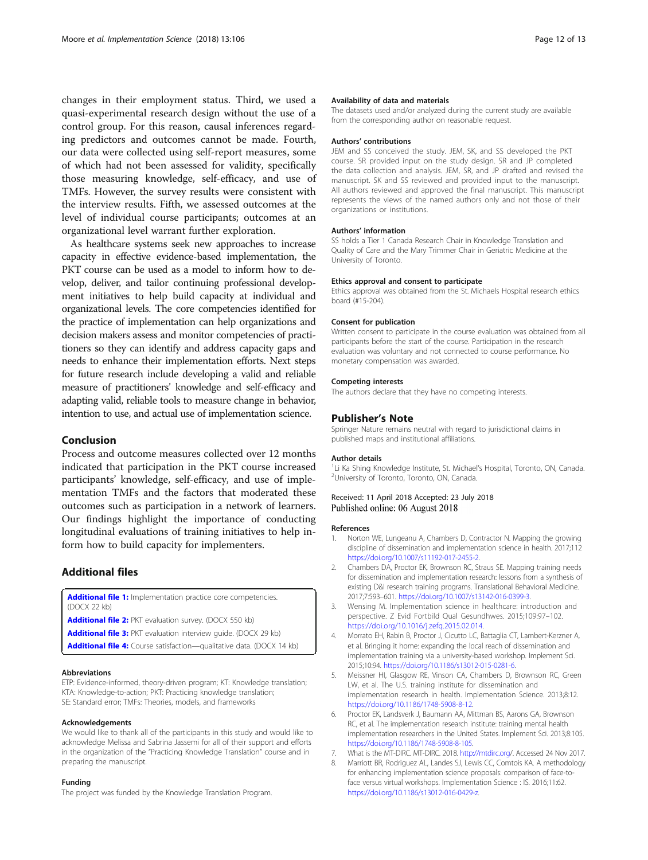<span id="page-11-0"></span>changes in their employment status. Third, we used a quasi-experimental research design without the use of a control group. For this reason, causal inferences regarding predictors and outcomes cannot be made. Fourth, our data were collected using self-report measures, some of which had not been assessed for validity, specifically those measuring knowledge, self-efficacy, and use of TMFs. However, the survey results were consistent with the interview results. Fifth, we assessed outcomes at the level of individual course participants; outcomes at an organizational level warrant further exploration.

As healthcare systems seek new approaches to increase capacity in effective evidence-based implementation, the PKT course can be used as a model to inform how to develop, deliver, and tailor continuing professional development initiatives to help build capacity at individual and organizational levels. The core competencies identified for the practice of implementation can help organizations and decision makers assess and monitor competencies of practitioners so they can identify and address capacity gaps and needs to enhance their implementation efforts. Next steps for future research include developing a valid and reliable measure of practitioners' knowledge and self-efficacy and adapting valid, reliable tools to measure change in behavior, intention to use, and actual use of implementation science.

## Conclusion

Process and outcome measures collected over 12 months indicated that participation in the PKT course increased participants' knowledge, self-efficacy, and use of implementation TMFs and the factors that moderated these outcomes such as participation in a network of learners. Our findings highlight the importance of conducting longitudinal evaluations of training initiatives to help inform how to build capacity for implementers.

## Additional files

[Additional file 1:](https://doi.org/10.1186/s13012-018-0800-3) Implementation practice core competencies. (DOCX 22 kb) [Additional file 2:](https://doi.org/10.1186/s13012-018-0800-3) PKT evaluation survey. (DOCX 550 kb) [Additional file 3:](https://doi.org/10.1186/s13012-018-0800-3) PKT evaluation interview guide. (DOCX 29 kb) [Additional file 4:](https://doi.org/10.1186/s13012-018-0800-3) Course satisfaction-qualitative data. (DOCX 14 kb)

#### Abbreviations

ETP: Evidence-informed, theory-driven program; KT: Knowledge translation; KTA: Knowledge-to-action; PKT: Practicing knowledge translation; SE: Standard error; TMFs: Theories, models, and frameworks

#### Acknowledgements

We would like to thank all of the participants in this study and would like to acknowledge Melissa and Sabrina Jassemi for all of their support and efforts in the organization of the "Practicing Knowledge Translation" course and in preparing the manuscript.

#### Funding

The project was funded by the Knowledge Translation Program.

#### Availability of data and materials

The datasets used and/or analyzed during the current study are available from the corresponding author on reasonable request.

#### Authors' contributions

JEM and SS conceived the study. JEM, SK, and SS developed the PKT course. SR provided input on the study design. SR and JP completed the data collection and analysis. JEM, SR, and JP drafted and revised the manuscript. SK and SS reviewed and provided input to the manuscript. All authors reviewed and approved the final manuscript. This manuscript represents the views of the named authors only and not those of their organizations or institutions.

#### Authors' information

SS holds a Tier 1 Canada Research Chair in Knowledge Translation and Quality of Care and the Mary Trimmer Chair in Geriatric Medicine at the University of Toronto.

#### Ethics approval and consent to participate

Ethics approval was obtained from the St. Michaels Hospital research ethics board (#15-204).

#### Consent for publication

Written consent to participate in the course evaluation was obtained from all participants before the start of the course. Participation in the research evaluation was voluntary and not connected to course performance. No monetary compensation was awarded.

#### Competing interests

The authors declare that they have no competing interests.

#### Publisher's Note

Springer Nature remains neutral with regard to jurisdictional claims in published maps and institutional affiliations.

#### Author details

<sup>1</sup>Li Ka Shing Knowledge Institute, St. Michael's Hospital, Toronto, ON, Canada.<br><sup>2</sup>Libiversity of Toronto, Toronto, ON, Canada. <sup>2</sup>University of Toronto, Toronto, ON, Canada.

Received: 11 April 2018 Accepted: 23 July 2018 Published online: 06 August 2018

#### References

- 1. Norton WE, Lungeanu A, Chambers D, Contractor N. Mapping the growing discipline of dissemination and implementation science in health. 2017;112 <https://doi.org/10.1007/s11192-017-2455-2>.
- 2. Chambers DA, Proctor EK, Brownson RC, Straus SE. Mapping training needs for dissemination and implementation research: lessons from a synthesis of existing D&I research training programs. Translational Behavioral Medicine. 2017;7:593–601. [https://doi.org/10.1007/s13142-016-0399-3.](https://doi.org/10.1007/s13142-016-0399-3)
- 3. Wensing M. Implementation science in healthcare: introduction and perspective. Z Evid Fortbild Qual Gesundhwes. 2015;109:97–102. [https://doi.org/10.1016/j.zefq.2015.02.014.](https://doi.org/10.1016/j.zefq.2015.02.014)
- 4. Morrato EH, Rabin B, Proctor J, Cicutto LC, Battaglia CT, Lambert-Kerzner A, et al. Bringing it home: expanding the local reach of dissemination and implementation training via a university-based workshop. Implement Sci. 2015;10:94. <https://doi.org/10.1186/s13012-015-0281-6>.
- 5. Meissner HI, Glasgow RE, Vinson CA, Chambers D, Brownson RC, Green LW, et al. The U.S. training institute for dissemination and implementation research in health. Implementation Science. 2013;8:12. <https://doi.org/10.1186/1748-5908-8-12>.
- 6. Proctor EK, Landsverk J, Baumann AA, Mittman BS, Aarons GA, Brownson RC, et al. The implementation research institute: training mental health implementation researchers in the United States. Implement Sci. 2013;8:105. <https://doi.org/10.1186/1748-5908-8-105>.
- 7. What is the MT-DIRC. MT-DIRC. 2018. [http://mtdirc.org/](http://mtdirc.org). Accessed 24 Nov 2017.
- 8. Marriott BR, Rodriguez AL, Landes SJ, Lewis CC, Comtois KA. A methodology for enhancing implementation science proposals: comparison of face-toface versus virtual workshops. Implementation Science : IS. 2016;11:62. [https://doi.org/10.1186/s13012-016-0429-z.](https://doi.org/10.1186/s13012-016-0429-z)